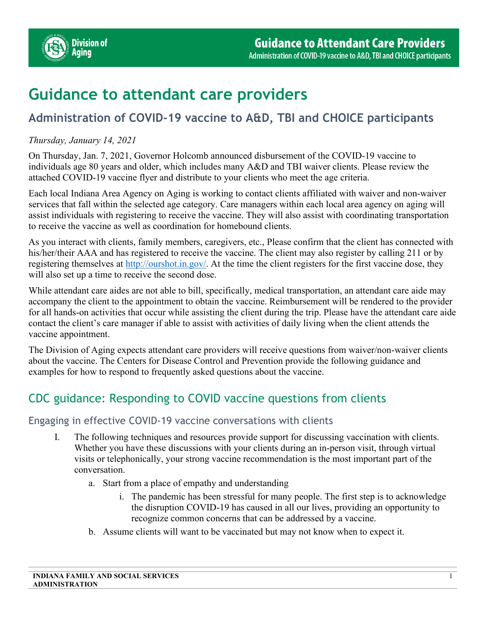

# **Guidance to attendant care providers**

# **Administration of COVID-19 vaccine to A&D, TBI and CHOICE participants**

### *Thursday, January 14, 2021*

On Thursday, Jan. 7, 2021, Governor Holcomb announced disbursement of the COVID-19 vaccine to individuals age 80 years and older, which includes many A&D and TBI waiver clients. Please review the attached COVID-19 vaccine flyer and distribute to your clients who meet the age criteria.

Each local Indiana Area Agency on Aging is working to contact clients affiliated with waiver and non-waiver services that fall within the selected age category. Care managers within each local area agency on aging will assist individuals with registering to receive the vaccine. They will also assist with coordinating transportation to receive the vaccine as well as coordination for homebound clients.

As you interact with clients, family members, caregivers, etc., Please confirm that the client has connected with his/her/their AAA and has registered to receive the vaccine. The client may also register by calling 211 or by registering themselves at [http://ourshot.in.gov/.](http://ourshot.in.gov/) At the time the client registers for the first vaccine dose, they will also set up a time to receive the second dose.

While attendant care aides are not able to bill, specifically, medical transportation, an attendant care aide may accompany the client to the appointment to obtain the vaccine. Reimbursement will be rendered to the provider for all hands-on activities that occur while assisting the client during the trip. Please have the attendant care aide contact the client's care manager if able to assist with activities of daily living when the client attends the vaccine appointment.

The Division of Aging expects attendant care providers will receive questions from waiver/non-waiver clients about the vaccine. The Centers for Disease Control and Prevention provide the following guidance and examples for how to respond to frequently asked questions about the vaccine.

# CDC guidance: Responding to COVID vaccine questions from clients

# Engaging in effective COVID-19 vaccine conversations with clients

- I. The following techniques and resources provide support for discussing vaccination with clients. Whether you have these discussions with your clients during an in-person visit, through virtual visits or telephonically, your strong vaccine recommendation is the most important part of the conversation.
	- a. Start from a place of empathy and understanding
		- i. The pandemic has been stressful for many people. The first step is to acknowledge the disruption COVID-19 has caused in all our lives, providing an opportunity to recognize common concerns that can be addressed by a vaccine.
	- b. Assume clients will want to be vaccinated but may not know when to expect it.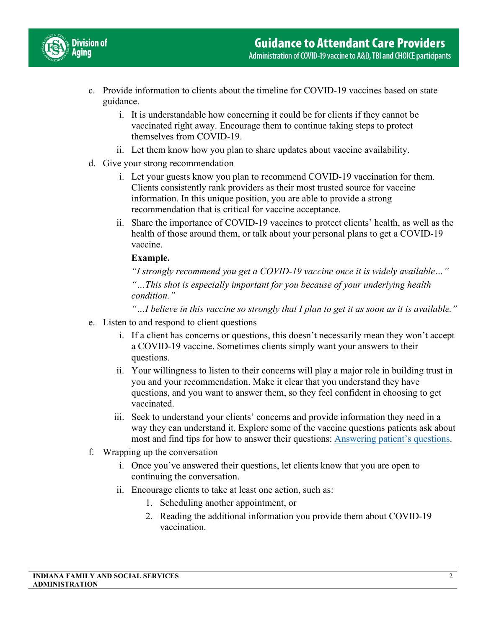

- c. Provide information to clients about the timeline for COVID-19 vaccines based on state guidance.
	- i. It is understandable how concerning it could be for clients if they cannot be vaccinated right away. Encourage them to continue taking steps to protect themselves from COVID-19.
	- ii. Let them know how you plan to share updates about vaccine availability.
- d. Give your strong recommendation
	- i. Let your guests know you plan to recommend COVID-19 vaccination for them. Clients consistently rank providers as their most trusted source for vaccine information. In this unique position, you are able to provide a strong recommendation that is critical for vaccine acceptance.
	- ii. Share the importance of COVID-19 vaccines to protect clients' health, as well as the health of those around them, or talk about your personal plans to get a COVID-19 vaccine.

#### **Example.**

*"I strongly recommend you get a COVID-19 vaccine once it is widely available…"*

*"…This shot is especially important for you because of your underlying health condition."* 

*"…I believe in this vaccine so strongly that I plan to get it as soon as it is available."* 

- e. Listen to and respond to client questions
	- i. If a client has concerns or questions, this doesn't necessarily mean they won't accept a COVID-19 vaccine. Sometimes clients simply want your answers to their questions.
	- ii. Your willingness to listen to their concerns will play a major role in building trust in you and your recommendation. Make it clear that you understand they have questions, and you want to answer them, so they feel confident in choosing to get vaccinated.
	- iii. Seek to understand your clients' concerns and provide information they need in a way they can understand it. Explore some of the vaccine questions patients ask about most and find tips for how to answer their questions: [Answering patient's questions.](https://www.cdc.gov/vaccines/covid-19/hcp/answering-questions.html)
- f. Wrapping up the conversation
	- i. Once you've answered their questions, let clients know that you are open to continuing the conversation.
	- ii. Encourage clients to take at least one action, such as:
		- 1. Scheduling another appointment, or
		- 2. Reading the additional information you provide them about COVID-19 vaccination.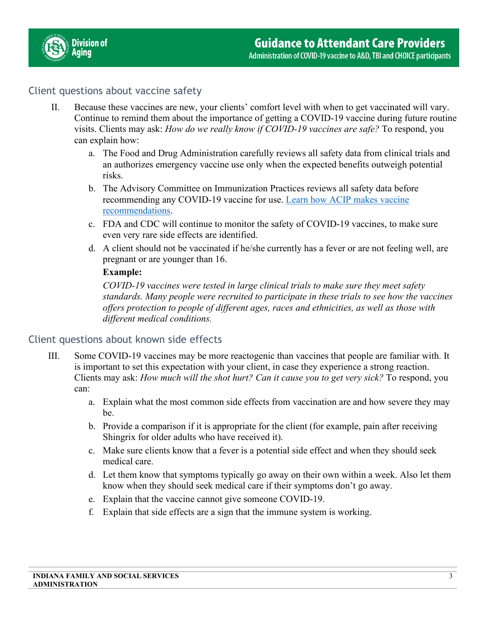

# Client questions about vaccine safety

- II. Because these vaccines are new, your clients' comfort level with when to get vaccinated will vary. Continue to remind them about the importance of getting a COVID-19 vaccine during future routine visits. Clients may ask: *How do we really know if COVID-19 vaccines are safe?* To respond, you can explain how:
	- a. The Food and Drug Administration carefully reviews all safety data from clinical trials and an authorizes emergency vaccine use only when the expected benefits outweigh potential risks.
	- b. The Advisory Committee on Immunization Practices reviews all safety data before recommending any COVID-19 vaccine for use. [Learn how ACIP makes vaccine](https://www.cdc.gov/vaccines/acip/committee/role-vaccine-recommendations.html)  [recommendations.](https://www.cdc.gov/vaccines/acip/committee/role-vaccine-recommendations.html)
	- c. FDA and CDC will continue to monitor the safety of COVID-19 vaccines, to make sure even very rare side effects are identified.
	- d. A client should not be vaccinated if he/she currently has a fever or are not feeling well, are pregnant or are younger than 16.

#### **Example:**

*COVID-19 vaccines were tested in large clinical trials to make sure they meet safety standards. Many people were recruited to participate in these trials to see how the vaccines offers protection to people of different ages, races and ethnicities, as well as those with different medical conditions.* 

# Client questions about known side effects

- III. Some COVID-19 vaccines may be more reactogenic than vaccines that people are familiar with. It is important to set this expectation with your client, in case they experience a strong reaction. Clients may ask: *How much will the shot hurt? Can it cause you to get very sick?* To respond, you can:
	- a. Explain what the most common side effects from vaccination are and how severe they may be.
	- b. Provide a comparison if it is appropriate for the client (for example, pain after receiving Shingrix for older adults who have received it).
	- c. Make sure clients know that a fever is a potential side effect and when they should seek medical care.
	- d. Let them know that symptoms typically go away on their own within a week. Also let them know when they should seek medical care if their symptoms don't go away.
	- e. Explain that the vaccine cannot give someone COVID-19.
	- f. Explain that side effects are a sign that the immune system is working.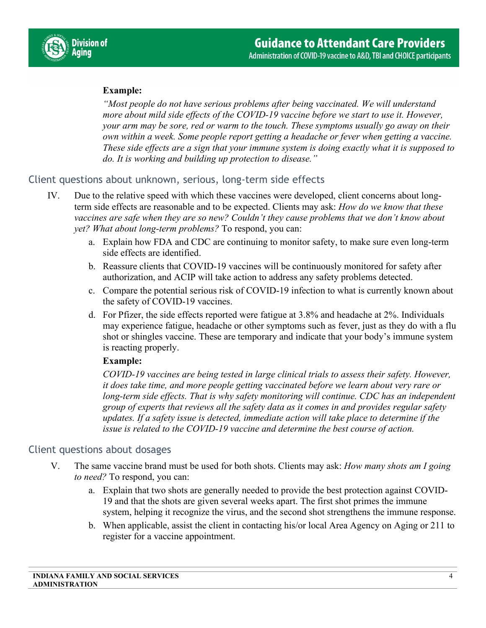

# **Example:**

*"Most people do not have serious problems after being vaccinated. We will understand more about mild side effects of the COVID-19 vaccine before we start to use it. However, your arm may be sore, red or warm to the touch. These symptoms usually go away on their own within a week. Some people report getting a headache or fever when getting a vaccine. These side effects are a sign that your immune system is doing exactly what it is supposed to do. It is working and building up protection to disease."* 

#### Client questions about unknown, serious, long-term side effects

- IV. Due to the relative speed with which these vaccines were developed, client concerns about longterm side effects are reasonable and to be expected. Clients may ask: *How do we know that these vaccines are safe when they are so new? Couldn't they cause problems that we don't know about yet? What about long-term problems?* To respond, you can:
	- a. Explain how FDA and CDC are continuing to monitor safety, to make sure even long-term side effects are identified.
	- b. Reassure clients that COVID-19 vaccines will be continuously monitored for safety after authorization, and ACIP will take action to address any safety problems detected.
	- c. Compare the potential serious risk of COVID-19 infection to what is currently known about the safety of COVID-19 vaccines.
	- d. For Pfizer, the side effects reported were fatigue at 3.8% and headache at 2%. Individuals may experience fatigue, headache or other symptoms such as fever, just as they do with a flu shot or shingles vaccine. These are temporary and indicate that your body's immune system is reacting properly.

#### **Example:**

*COVID-19 vaccines are being tested in large clinical trials to assess their safety. However, it does take time, and more people getting vaccinated before we learn about very rare or long-term side effects. That is why safety monitoring will continue. CDC has an independent group of experts that reviews all the safety data as it comes in and provides regular safety updates. If a safety issue is detected, immediate action will take place to determine if the issue is related to the COVID-19 vaccine and determine the best course of action.* 

#### Client questions about dosages

- V. The same vaccine brand must be used for both shots. Clients may ask: *How many shots am I going to need?* To respond, you can:
	- a. Explain that two shots are generally needed to provide the best protection against COVID-19 and that the shots are given several weeks apart. The first shot primes the immune system, helping it recognize the virus, and the second shot strengthens the immune response.
	- b. When applicable, assist the client in contacting his/or local Area Agency on Aging or 211 to register for a vaccine appointment.